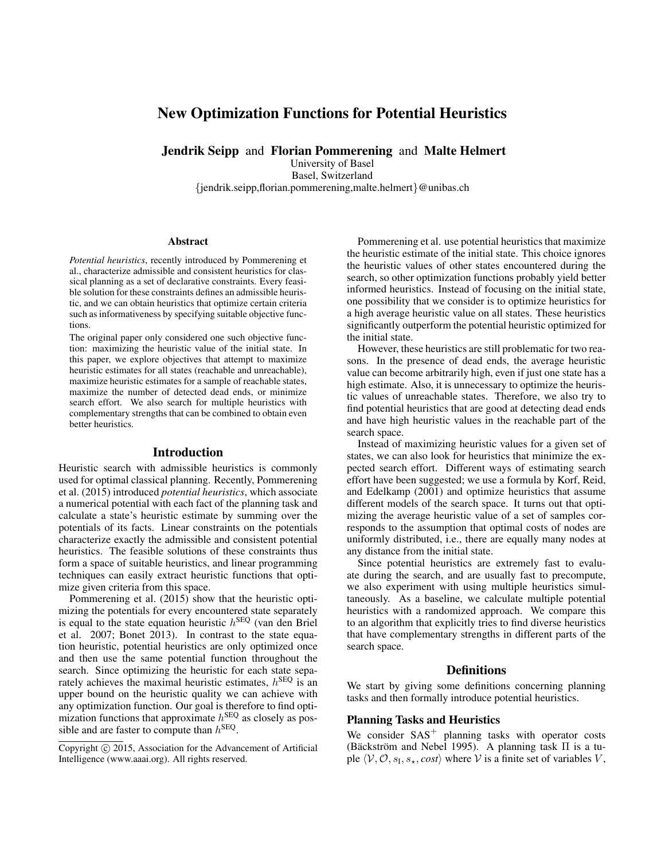# New Optimization Functions for Potential Heuristics

Jendrik Seipp and Florian Pommerening and Malte Helmert

University of Basel Basel, Switzerland

{jendrik.seipp,florian.pommerening,malte.helmert}@unibas.ch

#### Abstract

*Potential heuristics*, recently introduced by Pommerening et al., characterize admissible and consistent heuristics for classical planning as a set of declarative constraints. Every feasible solution for these constraints defines an admissible heuristic, and we can obtain heuristics that optimize certain criteria such as informativeness by specifying suitable objective functions.

The original paper only considered one such objective function: maximizing the heuristic value of the initial state. In this paper, we explore objectives that attempt to maximize heuristic estimates for all states (reachable and unreachable), maximize heuristic estimates for a sample of reachable states, maximize the number of detected dead ends, or minimize search effort. We also search for multiple heuristics with complementary strengths that can be combined to obtain even better heuristics.

#### Introduction

Heuristic search with admissible heuristics is commonly used for optimal classical planning. Recently, Pommerening et al. (2015) introduced *potential heuristics*, which associate a numerical potential with each fact of the planning task and calculate a state's heuristic estimate by summing over the potentials of its facts. Linear constraints on the potentials characterize exactly the admissible and consistent potential heuristics. The feasible solutions of these constraints thus form a space of suitable heuristics, and linear programming techniques can easily extract heuristic functions that optimize given criteria from this space.

Pommerening et al. (2015) show that the heuristic optimizing the potentials for every encountered state separately is equal to the state equation heuristic  $h^{\text{SEQ}}$  (van den Briel et al. 2007; Bonet 2013). In contrast to the state equation heuristic, potential heuristics are only optimized once and then use the same potential function throughout the search. Since optimizing the heuristic for each state separately achieves the maximal heuristic estimates,  $h^{\text{SEQ}}$  is an upper bound on the heuristic quality we can achieve with any optimization function. Our goal is therefore to find optimization functions that approximate  $h^{\text{SEQ}}$  as closely as possible and are faster to compute than  $h^{\text{SEQ}}$ .

Pommerening et al. use potential heuristics that maximize the heuristic estimate of the initial state. This choice ignores the heuristic values of other states encountered during the search, so other optimization functions probably yield better informed heuristics. Instead of focusing on the initial state, one possibility that we consider is to optimize heuristics for a high average heuristic value on all states. These heuristics significantly outperform the potential heuristic optimized for the initial state.

However, these heuristics are still problematic for two reasons. In the presence of dead ends, the average heuristic value can become arbitrarily high, even if just one state has a high estimate. Also, it is unnecessary to optimize the heuristic values of unreachable states. Therefore, we also try to find potential heuristics that are good at detecting dead ends and have high heuristic values in the reachable part of the search space.

Instead of maximizing heuristic values for a given set of states, we can also look for heuristics that minimize the expected search effort. Different ways of estimating search effort have been suggested; we use a formula by Korf, Reid, and Edelkamp (2001) and optimize heuristics that assume different models of the search space. It turns out that optimizing the average heuristic value of a set of samples corresponds to the assumption that optimal costs of nodes are uniformly distributed, i.e., there are equally many nodes at any distance from the initial state.

Since potential heuristics are extremely fast to evaluate during the search, and are usually fast to precompute, we also experiment with using multiple heuristics simultaneously. As a baseline, we calculate multiple potential heuristics with a randomized approach. We compare this to an algorithm that explicitly tries to find diverse heuristics that have complementary strengths in different parts of the search space.

#### **Definitions**

We start by giving some definitions concerning planning tasks and then formally introduce potential heuristics.

# Planning Tasks and Heuristics

We consider  $SAS<sup>+</sup>$  planning tasks with operator costs (Bäckström and Nebel 1995). A planning task  $\Pi$  is a tuple  $\langle V, O, s_{\text{I}}, s_{\star}, cost \rangle$  where V is a finite set of variables V,

Copyright  $\odot$  2015, Association for the Advancement of Artificial Intelligence (www.aaai.org). All rights reserved.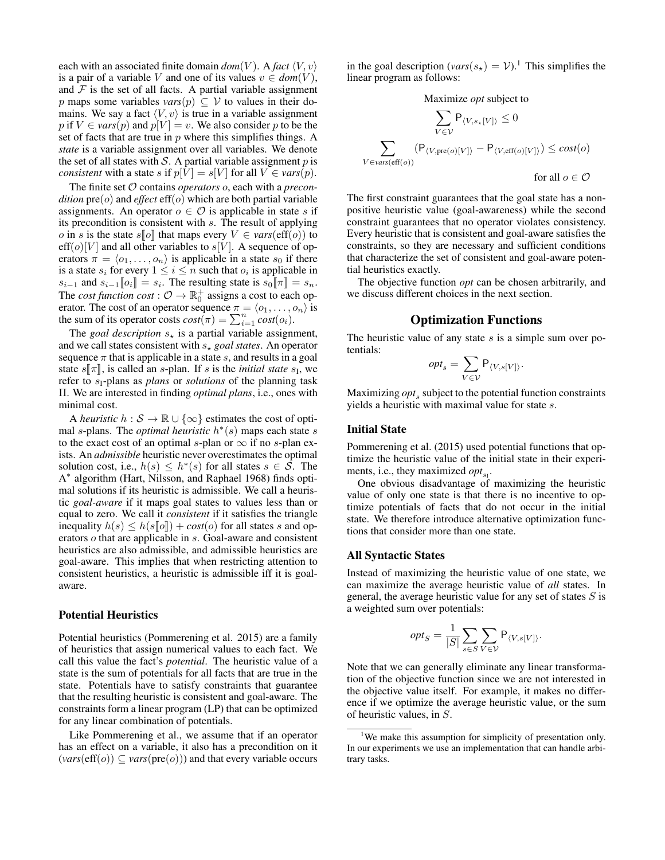each with an associated finite domain  $dom(V)$ . A *fact*  $\langle V, v \rangle$ is a pair of a variable V and one of its values  $v \in dom(V)$ , and  $F$  is the set of all facts. A partial variable assignment p maps some variables  $vars(p) \subseteq V$  to values in their domains. We say a fact  $\langle V, v \rangle$  is true in a variable assignment p if  $V \in vars(p)$  and  $p[V] = v$ . We also consider p to be the set of facts that are true in  $p$  where this simplifies things. A *state* is a variable assignment over all variables. We denote the set of all states with  $S$ . A partial variable assignment  $p$  is *consistent* with a state s if  $p[V] = s[V]$  for all  $V \in vars(p)$ .

The finite set O contains *operators* o, each with a *precondition*  $pre(o)$  and *effect*  $eff(o)$  which are both partial variable assignments. An operator  $o \in \mathcal{O}$  is applicable in state s if its precondition is consistent with s. The result of applying *o* in *s* is the state  $s[\![o]\!]$  that maps every  $V \in vars(\text{eff}(o))$  to  $\text{eff}(o)[V]$  and all other variables to  $s[V]$ . A sequence of operators  $\pi = \langle o_1, \ldots, o_n \rangle$  is applicable in a state  $s_0$  if there is a state  $s_i$  for every  $1 \leq i \leq n$  such that  $o_i$  is applicable in  $s_{i-1}$  and  $s_{i-1}[\![o_i]\!] = s_i$ . The resulting state is  $s_0[\![\pi]\!] = s_n$ .<br>The cost function cost:  $\bigcap_{\Delta} \mathbb{R}^+$  essigns a cost to each on The *cost function cost* :  $\mathcal{O} \to \mathbb{R}_0^+$  assigns a cost to each operator. The cost of an operator sequence  $\pi = \langle o_1, \ldots, o_n \rangle$  is the sum of its operator costs  $cost(\pi) = \sum_{i=1}^{n} cost(o_i)$ .

The *goal description*  $s_{\star}$  is a partial variable assignment, and we call states consistent with  $s_{\star}$  goal states. An operator sequence  $\pi$  that is applicable in a state s, and results in a goal state  $s[\![\pi]\!]$ , is called an *s*-plan. If *s* is the *initial state*  $s_I$ , we refer to *s*-plans as *plans* or *solutions* of the planning task refer to  $s_1$ -plans as *plans* or *solutions* of the planning task Π. We are interested in finding *optimal plans*, i.e., ones with minimal cost.

A *heuristic*  $h : \mathcal{S} \to \mathbb{R} \cup \{\infty\}$  estimates the cost of optimal s-plans. The *optimal heuristic*  $h^*(s)$  maps each state s to the exact cost of an optimal s-plan or  $\infty$  if no s-plan exists. An *admissible* heuristic never overestimates the optimal solution cost, i.e.,  $h(s) \leq h^*(s)$  for all states  $s \in \overline{S}$ . The A ∗ algorithm (Hart, Nilsson, and Raphael 1968) finds optimal solutions if its heuristic is admissible. We call a heuristic *goal-aware* if it maps goal states to values less than or equal to zero. We call it *consistent* if it satisfies the triangle inequality  $h(s) \leq h(s\|\mathbf{0}\|) + cost(o)$  for all states s and operators o that are applicable in s. Goal-aware and consistent heuristics are also admissible, and admissible heuristics are goal-aware. This implies that when restricting attention to consistent heuristics, a heuristic is admissible iff it is goalaware.

# Potential Heuristics

Potential heuristics (Pommerening et al. 2015) are a family of heuristics that assign numerical values to each fact. We call this value the fact's *potential*. The heuristic value of a state is the sum of potentials for all facts that are true in the state. Potentials have to satisfy constraints that guarantee that the resulting heuristic is consistent and goal-aware. The constraints form a linear program (LP) that can be optimized for any linear combination of potentials.

Like Pommerening et al., we assume that if an operator has an effect on a variable, it also has a precondition on it  $\left(\text{vars}(\text{eff}(o)) \subseteq \text{vars}(\text{pre}(o))\right)$  and that every variable occurs

in the goal description ( $vars(s_{\star}) = V$ ).<sup>1</sup> This simplifies the linear program as follows:

Maximize *opt* subject to

$$
\sum_{V \in \mathcal{V}} P_{\langle V, s_*[V] \rangle} \le 0
$$
  

$$
\sum_{V \in \text{vars}(\text{eff}(o))} (P_{\langle V, \text{pre}(o)[V] \rangle} - P_{\langle V, \text{eff}(o)[V] \rangle}) \le cost(o)
$$
  
for all  $o \in \mathcal{O}$ 

The first constraint guarantees that the goal state has a nonpositive heuristic value (goal-awareness) while the second constraint guarantees that no operator violates consistency. Every heuristic that is consistent and goal-aware satisfies the constraints, so they are necessary and sufficient conditions that characterize the set of consistent and goal-aware potential heuristics exactly.

The objective function *opt* can be chosen arbitrarily, and we discuss different choices in the next section.

# Optimization Functions

The heuristic value of any state  $s$  is a simple sum over potentials:

$$
opt_s = \sum_{V \in \mathcal{V}} \mathsf{P}_{\langle V, s[V] \rangle}.
$$

Maximizing *opt*<sub>s</sub> subject to the potential function constraints yields a heuristic with maximal value for state s.

#### Initial State

Pommerening et al. (2015) used potential functions that optimize the heuristic value of the initial state in their experiments, i.e., they maximized  $opt_{s_1}$ .

One obvious disadvantage of maximizing the heuristic value of only one state is that there is no incentive to optimize potentials of facts that do not occur in the initial state. We therefore introduce alternative optimization functions that consider more than one state.

#### All Syntactic States

Instead of maximizing the heuristic value of one state, we can maximize the average heuristic value of *all* states. In general, the average heuristic value for any set of states  $S$  is a weighted sum over potentials:

$$
opt_S = \frac{1}{|S|} \sum_{s \in S} \sum_{V \in \mathcal{V}} \mathsf{P}_{\langle V, s[V] \rangle}.
$$

Note that we can generally eliminate any linear transformation of the objective function since we are not interested in the objective value itself. For example, it makes no difference if we optimize the average heuristic value, or the sum of heuristic values, in S.

<sup>&</sup>lt;sup>1</sup>We make this assumption for simplicity of presentation only. In our experiments we use an implementation that can handle arbitrary tasks.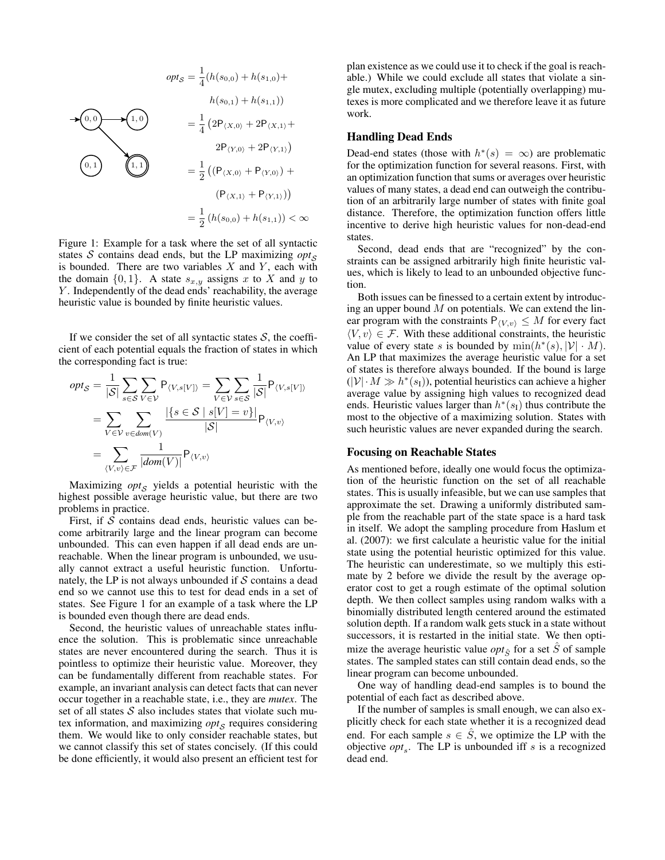$$
opt_S = \frac{1}{4} (h(s_{0,0}) + h(s_{1,0}) + h(s_{1,1}))
$$
  
\n
$$
= \frac{1}{4} (2P_{(X,0)} + 2P_{(X,1)} + 2P_{(Y,1)})
$$
  
\n(0,1)  
\n(1,1)  
\n
$$
= \frac{1}{2} ((P_{(X,0)} + P_{(Y,0)}) + P_{(Y,1)}))
$$
  
\n
$$
= \frac{1}{2} ((h(s_{0,0}) + h(s_{1,1})) < \infty
$$

Figure 1: Example for a task where the set of all syntactic states  $S$  contains dead ends, but the LP maximizing  $opt_S$ is bounded. There are two variables  $X$  and  $Y$ , each with the domain  $\{0, 1\}$ . A state  $s_{x,y}$  assigns x to X and y to Y. Independently of the dead ends' reachability, the average heuristic value is bounded by finite heuristic values.

If we consider the set of all syntactic states  $S$ , the coefficient of each potential equals the fraction of states in which the corresponding fact is true:

$$
opt_{S} = \frac{1}{|S|} \sum_{s \in S} \sum_{V \in V} P_{\langle V, s[V] \rangle} = \sum_{V \in V} \sum_{s \in S} \frac{1}{|S|} P_{\langle V, s[V] \rangle}
$$

$$
= \sum_{V \in V} \sum_{v \in dom(V)} \frac{|\{s \in S \mid s[V] = v\}|}{|S|} P_{\langle V, v \rangle}
$$

$$
= \sum_{\langle V, v \rangle \in \mathcal{F}} \frac{1}{|dom(V)|} P_{\langle V, v \rangle}
$$

Maximizing  $opt_{\mathcal{S}}$  yields a potential heuristic with the highest possible average heuristic value, but there are two problems in practice.

First, if  $S$  contains dead ends, heuristic values can become arbitrarily large and the linear program can become unbounded. This can even happen if all dead ends are unreachable. When the linear program is unbounded, we usually cannot extract a useful heuristic function. Unfortunately, the LP is not always unbounded if  $S$  contains a dead end so we cannot use this to test for dead ends in a set of states. See Figure 1 for an example of a task where the LP is bounded even though there are dead ends.

Second, the heuristic values of unreachable states influence the solution. This is problematic since unreachable states are never encountered during the search. Thus it is pointless to optimize their heuristic value. Moreover, they can be fundamentally different from reachable states. For example, an invariant analysis can detect facts that can never occur together in a reachable state, i.e., they are *mutex*. The set of all states  $S$  also includes states that violate such mutex information, and maximizing *opt*<sub>S</sub> requires considering them. We would like to only consider reachable states, but we cannot classify this set of states concisely. (If this could be done efficiently, it would also present an efficient test for

plan existence as we could use it to check if the goal is reachable.) While we could exclude all states that violate a single mutex, excluding multiple (potentially overlapping) mutexes is more complicated and we therefore leave it as future work.

#### Handling Dead Ends

Dead-end states (those with  $h^*(s) = \infty$ ) are problematic for the optimization function for several reasons. First, with an optimization function that sums or averages over heuristic values of many states, a dead end can outweigh the contribution of an arbitrarily large number of states with finite goal distance. Therefore, the optimization function offers little incentive to derive high heuristic values for non-dead-end states.

Second, dead ends that are "recognized" by the constraints can be assigned arbitrarily high finite heuristic values, which is likely to lead to an unbounded objective function.

Both issues can be finessed to a certain extent by introducing an upper bound  $M$  on potentials. We can extend the linear program with the constraints  $P_{\langle V,v \rangle} \leq M$  for every fact  $\langle V, v \rangle \in \mathcal{F}$ . With these additional constraints, the heuristic value of every state s is bounded by  $\min(h^*(s), |\mathcal{V}| \cdot M)$ . An LP that maximizes the average heuristic value for a set of states is therefore always bounded. If the bound is large  $(|\mathcal{V}| \cdot M \gg h^*(s_I))$ , potential heuristics can achieve a higher average value by assigning high values to recognized dead ends. Heuristic values larger than  $h^*(s<sub>I</sub>)$  thus contribute the most to the objective of a maximizing solution. States with such heuristic values are never expanded during the search.

#### Focusing on Reachable States

As mentioned before, ideally one would focus the optimization of the heuristic function on the set of all reachable states. This is usually infeasible, but we can use samples that approximate the set. Drawing a uniformly distributed sample from the reachable part of the state space is a hard task in itself. We adopt the sampling procedure from Haslum et al. (2007): we first calculate a heuristic value for the initial state using the potential heuristic optimized for this value. The heuristic can underestimate, so we multiply this estimate by 2 before we divide the result by the average operator cost to get a rough estimate of the optimal solution depth. We then collect samples using random walks with a binomially distributed length centered around the estimated solution depth. If a random walk gets stuck in a state without successors, it is restarted in the initial state. We then optimize the average heuristic value *opt*<sup> $\hat{S}$ </sup> for a set  $\hat{S}$  of sample states. The sampled states can still contain dead ends, so the linear program can become unbounded.

One way of handling dead-end samples is to bound the potential of each fact as described above.

If the number of samples is small enough, we can also explicitly check for each state whether it is a recognized dead end. For each sample  $s \in \hat{S}$ , we optimize the LP with the objective  $opt_s$ . The LP is unbounded iff s is a recognized dead end.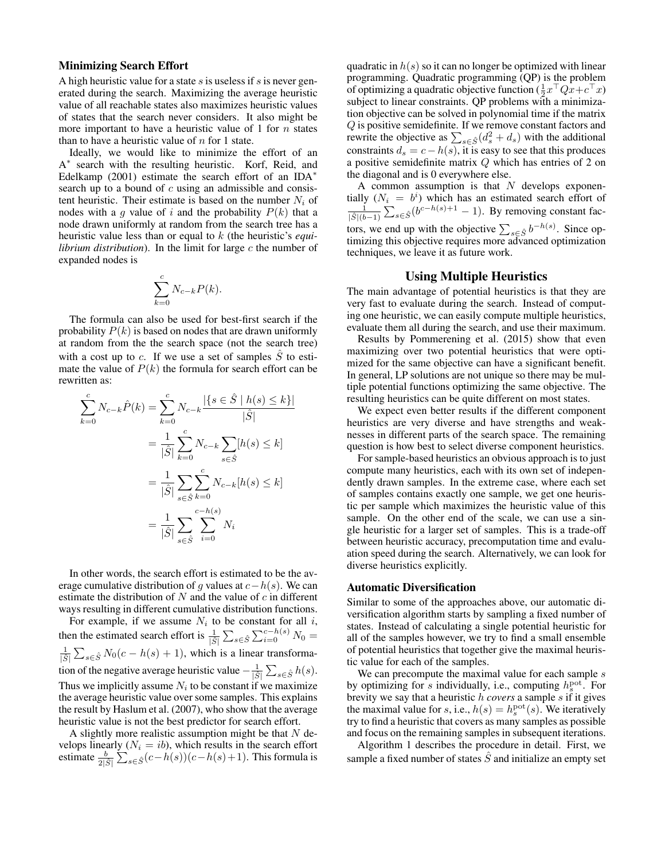# Minimizing Search Effort

A high heuristic value for a state  $s$  is useless if  $s$  is never generated during the search. Maximizing the average heuristic value of all reachable states also maximizes heuristic values of states that the search never considers. It also might be more important to have a heuristic value of 1 for  $n$  states than to have a heuristic value of  $n$  for 1 state.

Ideally, we would like to minimize the effort of an A<sup>\*</sup> search with the resulting heuristic. Korf, Reid, and Edelkamp (2001) estimate the search effort of an IDA $*$ search up to a bound of  $c$  using an admissible and consistent heuristic. Their estimate is based on the number  $N_i$  of nodes with a g value of i and the probability  $P(k)$  that a node drawn uniformly at random from the search tree has a heuristic value less than or equal to k (the heuristic's *equilibrium distribution*). In the limit for large c the number of expanded nodes is

$$
\sum_{k=0}^{c} N_{c-k} P(k).
$$

The formula can also be used for best-first search if the probability  $P(k)$  is based on nodes that are drawn uniformly at random from the the search space (not the search tree) with a cost up to c. If we use a set of samples  $\hat{S}$  to estimate the value of  $P(k)$  the formula for search effort can be rewritten as:

$$
\sum_{k=0}^{c} N_{c-k} \hat{P}(k) = \sum_{k=0}^{c} N_{c-k} \frac{|\{s \in \hat{S} \mid h(s) \le k\}|}{|\hat{S}|}
$$

$$
= \frac{1}{|\hat{S}|} \sum_{k=0}^{c} N_{c-k} \sum_{s \in \hat{S}} [h(s) \le k]
$$

$$
= \frac{1}{|\hat{S}|} \sum_{s \in \hat{S}} \sum_{k=0}^{c} N_{c-k} [h(s) \le k]
$$

$$
= \frac{1}{|\hat{S}|} \sum_{s \in \hat{S}} \sum_{i=0}^{c-h(s)} N_i
$$

In other words, the search effort is estimated to be the average cumulative distribution of g values at  $c-h(s)$ . We can estimate the distribution of  $N$  and the value of  $c$  in different ways resulting in different cumulative distribution functions.

For example, if we assume  $N_i$  to be constant for all i, then the estimated search effort is  $\frac{1}{|\hat{S}|} \sum_{s \in \hat{S}} \sum_{i=0}^{c-h(s)} N_0 =$  $\frac{1}{|\hat{S}|} \sum_{s \in \hat{S}} N_0(c - h(s) + 1)$ , which is a linear transformation of the negative average heuristic value  $-\frac{1}{|\hat{S}|} \sum_{s \in \hat{S}} h(s)$ . Thus we implicitly assume  $N_i$  to be constant if we maximize the average heuristic value over some samples. This explains the result by Haslum et al. (2007), who show that the average heuristic value is not the best predictor for search effort.

A slightly more realistic assumption might be that  $N$  develops linearly  $(N_i = ib)$ , which results in the search effort estimate  $\frac{b}{2|\hat{S}|} \sum_{s \in \hat{S}} (c - h(s)) (c - h(s) + 1)$ . This formula is

quadratic in  $h(s)$  so it can no longer be optimized with linear programming. Quadratic programming (QP) is the problem of optimizing a quadratic objective function  $(\frac{1}{2}x^\top Qx + c^\top x)$ subject to linear constraints. QP problems with a minimization objective can be solved in polynomial time if the matrix Q is positive semidefinite. If we remove constant factors and rewrite the objective as  $\sum_{s \in \hat{S}} (d_s^2 + d_s)$  with the additional constraints  $d_s = c - h(s)$ , it is easy to see that this produces a positive semidefinite matrix Q which has entries of 2 on the diagonal and is 0 everywhere else.

A common assumption is that  $N$  develops exponentially  $(N_i = b^i)$  which has an estimated search effort of  $\frac{1}{|\hat{S}|(b-1)}\sum_{s \in \hat{S}}(b^{c-h(s)+1} - 1)$ . By removing constant factors, we end up with the objective  $\sum_{s \in \hat{S}} b^{-h(s)}$ . Since optimizing this objective requires more advanced optimization techniques, we leave it as future work.

# Using Multiple Heuristics

The main advantage of potential heuristics is that they are very fast to evaluate during the search. Instead of computing one heuristic, we can easily compute multiple heuristics, evaluate them all during the search, and use their maximum.

Results by Pommerening et al. (2015) show that even maximizing over two potential heuristics that were optimized for the same objective can have a significant benefit. In general, LP solutions are not unique so there may be multiple potential functions optimizing the same objective. The resulting heuristics can be quite different on most states.

We expect even better results if the different component heuristics are very diverse and have strengths and weaknesses in different parts of the search space. The remaining question is how best to select diverse component heuristics.

For sample-based heuristics an obvious approach is to just compute many heuristics, each with its own set of independently drawn samples. In the extreme case, where each set of samples contains exactly one sample, we get one heuristic per sample which maximizes the heuristic value of this sample. On the other end of the scale, we can use a single heuristic for a larger set of samples. This is a trade-off between heuristic accuracy, precomputation time and evaluation speed during the search. Alternatively, we can look for diverse heuristics explicitly.

#### Automatic Diversification

Similar to some of the approaches above, our automatic diversification algorithm starts by sampling a fixed number of states. Instead of calculating a single potential heuristic for all of the samples however, we try to find a small ensemble of potential heuristics that together give the maximal heuristic value for each of the samples.

We can precompute the maximal value for each sample  $s$ by optimizing for s individually, i.e., computing  $h_s^{\text{pot}}$ . For brevity we say that a heuristic h *covers* a sample s if it gives the maximal value for s, i.e.,  $h(s) = h_s^{\text{pot}}(s)$ . We iteratively try to find a heuristic that covers as many samples as possible and focus on the remaining samples in subsequent iterations.

Algorithm 1 describes the procedure in detail. First, we sample a fixed number of states  $\hat{S}$  and initialize an empty set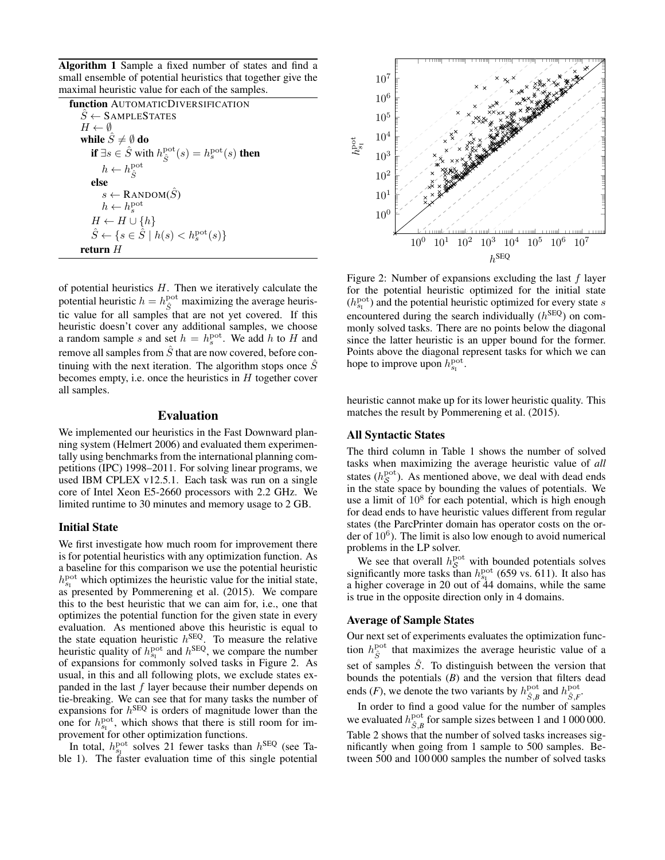Algorithm 1 Sample a fixed number of states and find a small ensemble of potential heuristics that together give the maximal heuristic value for each of the samples.

| <b>function</b> AUTOMATICDIVERSIFICATION                                                               |
|--------------------------------------------------------------------------------------------------------|
| $\tilde{S} \leftarrow$ SAMPLESTATES                                                                    |
| $H \leftarrow \emptyset$                                                                               |
| while $\hat{S} \neq \emptyset$ do                                                                      |
| <b>if</b> $\exists s \in \hat{S}$ with $h_{\hat{S}}^{\text{pot}}(s) = h_s^{\text{pot}}(s)$ <b>then</b> |
| $h \leftarrow h_{\hat{c}}^{\text{pot}}$                                                                |
| else                                                                                                   |
| $s \leftarrow$ RANDOM( $\hat{S}$ )                                                                     |
| $h \leftarrow h_{\rm s}^{\rm pot}$                                                                     |
| $H \leftarrow H \cup \{h\}$                                                                            |
| $\hat{S} \leftarrow \{ s \in \hat{S} \mid h(s) < h_s^{\text{pot}}(s) \}$                               |
| return <i>H</i>                                                                                        |

of potential heuristics  $H$ . Then we iteratively calculate the potential heuristic  $h = h_{\hat{S}}^{\text{pot}}$  maximizing the average heuristic value for all samples that are not yet covered. If this heuristic doesn't cover any additional samples, we choose a random sample s and set  $h = h_s^{\text{pot}}$ . We add h to H and remove all samples from  $\hat{S}$  that are now covered, before continuing with the next iteration. The algorithm stops once  $\tilde{S}$ becomes empty, i.e. once the heuristics in  $H$  together cover all samples.

#### Evaluation

We implemented our heuristics in the Fast Downward planning system (Helmert 2006) and evaluated them experimentally using benchmarks from the international planning competitions (IPC) 1998–2011. For solving linear programs, we used IBM CPLEX v12.5.1. Each task was run on a single core of Intel Xeon E5-2660 processors with 2.2 GHz. We limited runtime to 30 minutes and memory usage to 2 GB.

#### Initial State

We first investigate how much room for improvement there is for potential heuristics with any optimization function. As a baseline for this comparison we use the potential heuristic  $h_{s_1}^{\text{pot}}$  which optimizes the heuristic value for the initial state, as presented by Pommerening et al. (2015). We compare this to the best heuristic that we can aim for, i.e., one that optimizes the potential function for the given state in every evaluation. As mentioned above this heuristic is equal to the state equation heuristic  $h^{\text{SEQ}}$ . To measure the relative heuristic quality of  $h_{s_1}^{\text{pot}}$  and  $h^{\text{SEQ}}$ , we compare the number of expansions for commonly solved tasks in Figure 2. As usual, in this and all following plots, we exclude states expanded in the last  $f$  layer because their number depends on tie-breaking. We can see that for many tasks the number of expansions for  $h^{\text{SEQ}}$  is orders of magnitude lower than the one for  $h_{s_1}^{\text{pot}}$ , which shows that there is still room for improvement for other optimization functions.

In total,  $h_{s_1}^{\text{pot}}$  solves 21 fewer tasks than  $h^{\text{SEQ}}$  (see Table 1). The faster evaluation time of this single potential



Figure 2: Number of expansions excluding the last  $f$  layer for the potential heuristic optimized for the initial state  $(h_{s_1}^{\text{pot}})$  and the potential heuristic optimized for every state s encountered during the search individually  $(h^{\text{SEQ}})$  on commonly solved tasks. There are no points below the diagonal since the latter heuristic is an upper bound for the former. Points above the diagonal represent tasks for which we can hope to improve upon  $h_{s_1}^{\text{pot}}$ .

heuristic cannot make up for its lower heuristic quality. This matches the result by Pommerening et al. (2015).

### All Syntactic States

The third column in Table 1 shows the number of solved tasks when maximizing the average heuristic value of *all* states  $(h_{\mathcal{S}}^{\text{pot}})$ . As mentioned above, we deal with dead ends in the state space by bounding the values of potentials. We use a limit of  $10^8$  for each potential, which is high enough for dead ends to have heuristic values different from regular states (the ParcPrinter domain has operator costs on the order of  $10^6$ ). The limit is also low enough to avoid numerical problems in the LP solver.

We see that overall  $h_{\mathcal{S}}^{\text{pot}}$  with bounded potentials solves significantly more tasks than  $h_{s_1}^{\text{pot}}$  (659 vs. 611). It also has a higher coverage in 20 out of 44 domains, while the same is true in the opposite direction only in 4 domains.

#### Average of Sample States

Our next set of experiments evaluates the optimization function  $h_{\hat{S}}^{\text{pot}}$  that maximizes the average heuristic value of a set of samples  $\hat{S}$ . To distinguish between the version that bounds the potentials (*B*) and the version that filters dead ends (*F*), we denote the two variants by  $h_{\hat{S},B}^{\text{pot}}$  and  $h_{\hat{S},F}^{\text{pot}}$ .

In order to find a good value for the number of samples we evaluated  $h_{\hat{S},B}^{\text{pot}}$  for sample sizes between 1 and 1 000 000. Table 2 shows that the number of solved tasks increases significantly when going from 1 sample to 500 samples. Between 500 and 100 000 samples the number of solved tasks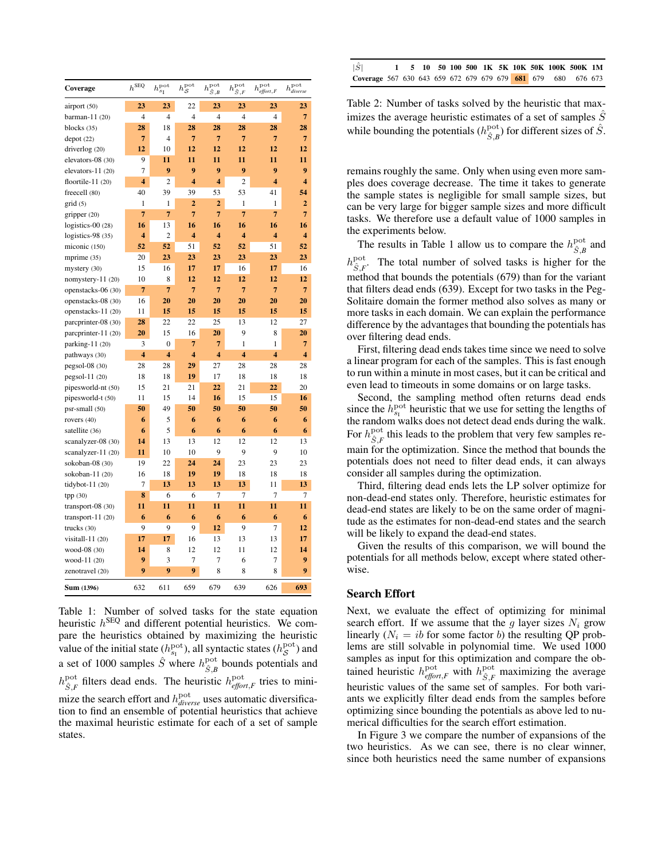| Coverage            | $h^{\text{SEQ}}$        | $h^{\mathrm{pot}}_{s_{\mathrm{I}}}$ | $h_{\mathcal{S}}^{\text{pot}}$ | $h^{\text{pot}}$<br>$\hat{S}$ , B | $h^{\text{pot}}$<br>$\hat{S}$ , $F$ | $h_{\text{effort},F}^{\text{pot}}$ | $h_{diverse}^{\rm pot}$ |
|---------------------|-------------------------|-------------------------------------|--------------------------------|-----------------------------------|-------------------------------------|------------------------------------|-------------------------|
| airport (50)        | 23                      | 23                                  | 22                             | 23                                | 23                                  | 23                                 | 23                      |
| barman- $11(20)$    | $\overline{4}$          | $\overline{4}$                      | $\overline{4}$                 | $\overline{4}$                    | $\overline{4}$                      | $\overline{4}$                     | $\overline{7}$          |
| blocks $(35)$       | 28                      | 18                                  | 28                             | 28                                | 28                                  | 28                                 | 28                      |
| depot(22)           | $\overline{7}$          | $\overline{4}$                      | $\overline{7}$                 | $\overline{7}$                    | $\overline{7}$                      | $\overline{7}$                     | $\overline{7}$          |
| driverlog (20)      | 12                      | 10                                  | 12                             | 12                                | 12                                  | 12                                 | 12                      |
| elevators-08 (30)   | 9                       | 11                                  | 11                             | 11                                | 11                                  | 11                                 | 11                      |
| elevators-11 (20)   | $\overline{7}$          | 9                                   | 9                              | 9                                 | 9                                   | 9                                  | 9                       |
| floortile- $11(20)$ | 4                       | $\overline{2}$                      | $\overline{\mathbf{4}}$        | 4                                 | $\overline{2}$                      | $\overline{\bf{4}}$                | $\overline{\mathbf{4}}$ |
| freecell (80)       | 40                      | 39                                  | 39                             | 53                                | 53                                  | 41                                 | 54                      |
| grid(5)             | $\mathbf{1}$            | $\mathbf{1}$                        | $\overline{2}$                 | $\overline{2}$                    | $\mathbf{1}$                        | 1                                  | $\overline{2}$          |
| gripper $(20)$      | $\overline{7}$          | $\overline{7}$                      | $\overline{7}$                 | $\overline{7}$                    | $\overline{7}$                      | $\overline{7}$                     | $\overline{7}$          |
| logistics- $00(28)$ | 16                      | 13                                  | 16                             | 16                                | 16                                  | 16                                 | 16                      |
| logistics-98 (35)   | 4                       | $\overline{2}$                      | $\overline{\bf{4}}$            | 4                                 | $\overline{\bf{4}}$                 | $\overline{\bf{4}}$                | $\overline{\bf{4}}$     |
| miconic (150)       | 52                      | 52                                  | 51                             | 52                                | 52                                  | 51                                 | 52                      |
| mprime (35)         | 20                      | 23                                  | 23                             | 23                                | 23                                  | 23                                 | 23                      |
| mystery (30)        | 15                      | 16                                  | 17                             | 17                                | 16                                  | 17                                 | 16                      |
| nomystery- $11(20)$ | 10                      | 8                                   | 12                             | 12                                | 12                                  | 12                                 | 12                      |
| openstacks-06 (30)  | $\overline{7}$          | $\overline{7}$                      | $\overline{7}$                 | $\overline{7}$                    | $\overline{7}$                      | $\overline{7}$                     | $\overline{7}$          |
| openstacks-08 (30)  | 16                      | 20                                  | 20                             | 20                                | 20                                  | 20                                 | 20                      |
| openstacks-11 (20)  | 11                      | 15                                  | 15                             | 15                                | 15                                  | 15                                 | 15                      |
| parcprinter-08 (30) | 28                      | 22                                  | 22                             | 25                                | 13                                  | 12                                 | 27                      |
| parcprinter-11 (20) | 20                      | 15                                  | 16                             | 20                                | 9                                   | 8                                  | 20                      |
| parking-11 (20)     | 3                       | $\boldsymbol{0}$                    | 7                              | $\overline{7}$                    | $\mathbf{1}$                        | 1                                  | $\overline{7}$          |
| pathways (30)       | $\overline{\mathbf{4}}$ | $\overline{\bf{4}}$                 | $\overline{\mathbf{4}}$        | 4                                 | $\overline{\mathbf{4}}$             | 4                                  | $\overline{\bf{4}}$     |
| $pegsol-08(30)$     | 28                      | 28                                  | 29                             | 27                                | 28                                  | 28                                 | 28                      |
| $pegsol-11(20)$     | 18                      | 18                                  | 19                             | 17                                | 18                                  | 18                                 | 18                      |
| pipesworld-nt (50)  | 15                      | 21                                  | 21                             | 22                                | 21                                  | 22                                 | 20                      |
| pipesworld-t (50)   | 11                      | 15                                  | 14                             | 16                                | 15                                  | 15                                 | 16                      |
| psr-small (50)      | 50                      | 49                                  | 50                             | 50                                | 50                                  | 50                                 | 50                      |
| rovers (40)         | 6                       | 5                                   | 6                              | 6                                 | 6                                   | 6                                  | 6                       |
| satellite (36)      | 6                       | 5                                   | 6                              | 6                                 | 6                                   | 6                                  | 6                       |
| scanalyzer-08 (30)  | 14                      | 13                                  | 13                             | 12                                | 12                                  | 12                                 | 13                      |
| scanalyzer-11 (20)  | 11                      | 10                                  | 10                             | 9                                 | 9                                   | 9                                  | 10                      |
| sokoban-08 (30)     | 19                      | 22                                  | 24                             | 24                                | 23                                  | 23                                 | 23                      |
| sokoban-11 (20)     | 16                      | 18                                  | 19                             | 19                                | 18                                  | 18                                 | 18                      |
| tidybot- $11(20)$   | 7                       | 13                                  | 13                             | 13                                | 13                                  | 11                                 | 13                      |
| tpp (30)            | 8                       | 6                                   | 6                              | $\overline{7}$                    | 7                                   | $\overline{7}$                     | 7                       |
| transport- $08(30)$ | 11                      | 11                                  | 11                             | 11                                | 11                                  | 11                                 | 11                      |
| transport- $11(20)$ | 6                       | 6                                   | 6                              | 6                                 | 6                                   | 6                                  | 6                       |
| trucks $(30)$       | 9                       | 9                                   | 9                              | 12                                | 9                                   | $\overline{7}$                     | 12                      |
| visitall-11 (20)    | 17                      | 17                                  | 16                             | 13                                | 13                                  | 13                                 | 17                      |
| wood-08 (30)        | 14                      | 8                                   | 12                             | 12                                | 11                                  | 12                                 | 14                      |
| wood-11 (20)        | 9                       | 3                                   | 7                              | $\overline{7}$                    | 6                                   | $\overline{7}$                     | 9                       |
| zenotravel (20)     | 9                       | 9                                   | 9                              | 8                                 | 8                                   | 8                                  | 9                       |
| Sum (1396)          | 632                     | 611                                 | 659                            | 679                               | 639                                 | 626                                | 693                     |

Table 1: Number of solved tasks for the state equation heuristic  $h^{\text{SEQ}}$  and different potential heuristics. We compare the heuristics obtained by maximizing the heuristic value of the initial state ( $h_{s_1}^{\text{pot}}$ ), all syntactic states ( $h_{\mathcal{S}}^{\text{pot}}$ ) and a set of 1000 samples  $\hat{S}$  where  $h_{\hat{S},B}^{\text{pot}}$  bounds potentials and  $h_{\hat{S},F}^{\text{pot}}$  filters dead ends. The heuristic  $h_{\text{effort},F}^{\text{pot}}$  tries to minimize the search effort and  $h_{diverse}^{\text{pot}}$  uses automatic diversification to find an ensemble of potential heuristics that achieve the maximal heuristic estimate for each of a set of sample states.

| $ \hat{S} $                                                         |  |  |  |  |  | 1 5 10 50 100 500 1K 5K 10K 50K 100K 500K 1M |  |
|---------------------------------------------------------------------|--|--|--|--|--|----------------------------------------------|--|
| <b>Coverage</b> 567 630 643 659 672 679 679 679 681 679 680 676 673 |  |  |  |  |  |                                              |  |

Table 2: Number of tasks solved by the heuristic that maximizes the average heuristic estimates of a set of samples  $\hat{S}$ while bounding the potentials  $(h_{\hat{S},B}^{\text{pot}})$  for different sizes of  $\hat{S}$ .

remains roughly the same. Only when using even more samples does coverage decrease. The time it takes to generate the sample states is negligible for small sample sizes, but can be very large for bigger sample sizes and more difficult tasks. We therefore use a default value of 1000 samples in the experiments below.

The results in Table 1 allow us to compare the  $h_{\hat{S},B}^{\text{pot}}$  and  $h_{\hat{S},F}^{\text{pot}}$ . The total number of solved tasks is higher for the method that bounds the potentials (679) than for the variant that filters dead ends (639). Except for two tasks in the Peg-Solitaire domain the former method also solves as many or more tasks in each domain. We can explain the performance difference by the advantages that bounding the potentials has over filtering dead ends.

First, filtering dead ends takes time since we need to solve a linear program for each of the samples. This is fast enough to run within a minute in most cases, but it can be critical and even lead to timeouts in some domains or on large tasks.

Second, the sampling method often returns dead ends since the  $h_{s_1}^{\text{pot}}$  heuristic that we use for setting the lengths of the random walks does not detect dead ends during the walk. For  $h_{\hat{S},F}^{\text{pot}}$  this leads to the problem that very few samples remain for the optimization. Since the method that bounds the potentials does not need to filter dead ends, it can always consider all samples during the optimization.

Third, filtering dead ends lets the LP solver optimize for non-dead-end states only. Therefore, heuristic estimates for dead-end states are likely to be on the same order of magnitude as the estimates for non-dead-end states and the search will be likely to expand the dead-end states.

Given the results of this comparison, we will bound the potentials for all methods below, except where stated otherwise.

#### Search Effort

Next, we evaluate the effect of optimizing for minimal search effort. If we assume that the g layer sizes  $N_i$  grow linearly  $(N_i = ib$  for some factor b) the resulting QP problems are still solvable in polynomial time. We used 1000 samples as input for this optimization and compare the obtained heuristic  $h_{\text{effort},F}^{\text{pot}}$  with  $h_{\hat{S},F}^{\text{pot}}$  maximizing the average heuristic values of the same set of samples. For both variants we explicitly filter dead ends from the samples before optimizing since bounding the potentials as above led to numerical difficulties for the search effort estimation.

In Figure 3 we compare the number of expansions of the two heuristics. As we can see, there is no clear winner, since both heuristics need the same number of expansions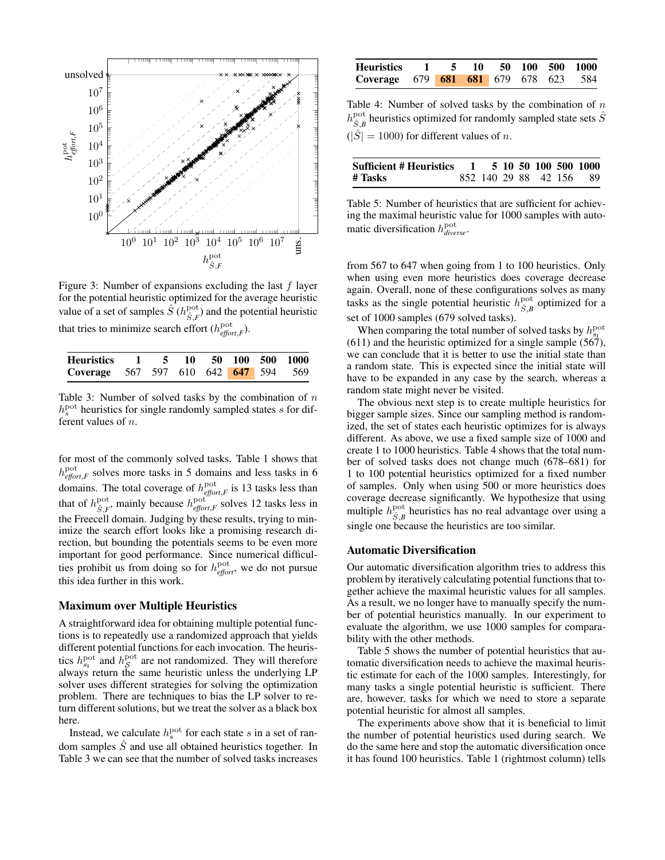

Figure 3: Number of expansions excluding the last  $f$  layer for the potential heuristic optimized for the average heuristic value of a set of samples  $\hat{S}$  ( $h^{\text{pot}}_{\hat{S},F}$ ) and the potential heuristic that tries to minimize search effort  $(h_{\text{effort},F}^{\text{pot}})$ .

| Heuristics 1 5 10 50 100 500 1000    |  |  |  |  |
|--------------------------------------|--|--|--|--|
| Coverage 567 597 610 642 647 594 569 |  |  |  |  |

Table 3: Number of solved tasks by the combination of  $n$  $h<sub>s</sub>$ <sup>pot</sup> heuristics for single randomly sampled states s for different values of n.

for most of the commonly solved tasks. Table 1 shows that  $h_{\text{effort},F}^{\text{pot}}$  solves more tasks in 5 domains and less tasks in 6 domains. The total coverage of  $h_{\text{effort},F}^{\text{pot}}$  is 13 tasks less than that of  $h_{\hat{S},F}^{\text{pot}}$ , mainly because  $h_{\text{effort},F}^{\text{pot}}$  solves 12 tasks less in the Freecell domain. Judging by these results, trying to minimize the search effort looks like a promising research direction, but bounding the potentials seems to be even more important for good performance. Since numerical difficulties prohibit us from doing so for  $h_{e\text{ff}ori}^{\text{pot}}$ , we do not pursue this idea further in this work.

### Maximum over Multiple Heuristics

A straightforward idea for obtaining multiple potential functions is to repeatedly use a randomized approach that yields different potential functions for each invocation. The heuristics  $h_{s_1}^{\text{pot}}$  and  $h_{\mathcal{S}}^{\text{pot}}$  are not randomized. They will therefore always return the same heuristic unless the underlying LP solver uses different strategies for solving the optimization problem. There are techniques to bias the LP solver to return different solutions, but we treat the solver as a black box here.

Instead, we calculate  $h<sub>s</sub><sup>pot</sup>$  for each state s in a set of random samples  $\hat{S}$  and use all obtained heuristics together. In Table 3 we can see that the number of solved tasks increases

| Heuristics 1 5 10 50 100 500 1000           |  |  |  |  |
|---------------------------------------------|--|--|--|--|
| <b>Coverage 679 681 681 679 678 623 584</b> |  |  |  |  |

Table 4: Number of solved tasks by the combination of  $n$  $h_{\hat{S},B}^{\text{pot}}$  heuristics optimized for randomly sampled state sets  $\hat{S}$  $(|\hat{S}| = 1000)$  for different values of *n*.

| Sufficient # Heuristics |  |  |  | 1 5 10 50 100 500 1000  |
|-------------------------|--|--|--|-------------------------|
| # Tasks                 |  |  |  | 852 140 29 88 42 156 89 |

Table 5: Number of heuristics that are sufficient for achieving the maximal heuristic value for 1000 samples with automatic diversification h pot *diverse*.

from 567 to 647 when going from 1 to 100 heuristics. Only when using even more heuristics does coverage decrease again. Overall, none of these configurations solves as many tasks as the single potential heuristic  $h_{\hat{S},B}^{\text{pot}}$  optimized for a set of 1000 samples (679 solved tasks).

When comparing the total number of solved tasks by  $h_{s_1}^{\text{pot}}$  $(611)$  and the heuristic optimized for a single sample  $(567)$ , we can conclude that it is better to use the initial state than a random state. This is expected since the initial state will have to be expanded in any case by the search, whereas a random state might never be visited.

The obvious next step is to create multiple heuristics for bigger sample sizes. Since our sampling method is randomized, the set of states each heuristic optimizes for is always different. As above, we use a fixed sample size of 1000 and create 1 to 1000 heuristics. Table 4 shows that the total number of solved tasks does not change much (678–681) for 1 to 100 potential heuristics optimized for a fixed number of samples. Only when using 500 or more heuristics does coverage decrease significantly. We hypothesize that using multiple  $h_{\hat{S},B}^{\text{pot}}$  heuristics has no real advantage over using a single one because the heuristics are too similar.

#### Automatic Diversification

Our automatic diversification algorithm tries to address this problem by iteratively calculating potential functions that together achieve the maximal heuristic values for all samples. As a result, we no longer have to manually specify the number of potential heuristics manually. In our experiment to evaluate the algorithm, we use 1000 samples for comparability with the other methods.

Table 5 shows the number of potential heuristics that automatic diversification needs to achieve the maximal heuristic estimate for each of the 1000 samples. Interestingly, for many tasks a single potential heuristic is sufficient. There are, however, tasks for which we need to store a separate potential heuristic for almost all samples.

The experiments above show that it is beneficial to limit the number of potential heuristics used during search. We do the same here and stop the automatic diversification once it has found 100 heuristics. Table 1 (rightmost column) tells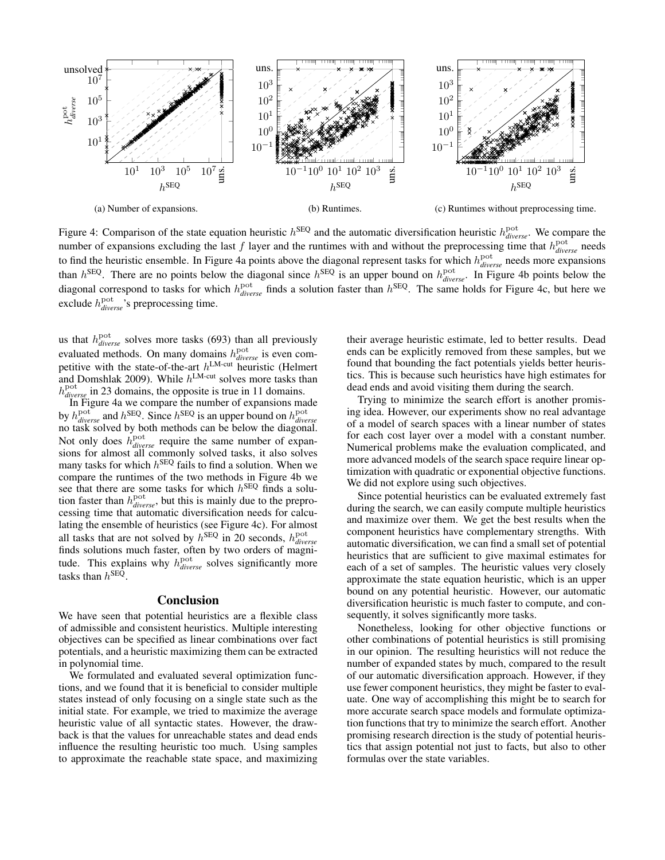

Figure 4: Comparison of the state equation heuristic  $h^{\text{SEQ}}$  and the automatic diversification heuristic  $h^{\text{pot}}_{divers}$ . We compare the number of expansions excluding the last  $f$  layer and the runtimes with and without the preprocessing time that  $h_{diverse}^{pot}$  needs to find the heuristic ensemble. In Figure 4a points above the diagonal represent tasks for which  $h_{diverse}^{pot}$  needs more expansions than  $h^{\text{SEQ}}$ . There are no points below the diagonal since  $h^{\text{SEQ}}$  is an upper bound on  $h_{diverse}^{\text{pot}}$ . In Figure 4b points below the diagonal correspond to tasks for which  $h_{diverse}^{pot}$  finds a solution faster than  $h^{SEQ}$ . The same holds for Figure 4c, but here we exclude  $h_{diver}^{pot}$ , *s* preprocessing time.

us that  $h_{diverse}^{\text{pot}}$  solves more tasks (693) than all previously evaluated methods. On many domains  $h_{divers}^{\text{pot}}$  is even competitive with the state-of-the-art  $h^{\text{LM-cut}}$  heuristic (Helmert and Domshlak 2009). While  $h^{\text{LM-cut}}$  solves more tasks than h pot *diverse* in 23 domains, the opposite is true in 11 domains.

In Figure 4a we compare the number of expansions made by  $h_{diverse}^{\text{pot}}$  and  $h^{\text{SEQ}}$ . Since  $h^{\text{SEQ}}$  is an upper bound on  $h_{diverse}^{\text{pot}}$  no task solved by both methods can be below the diagonal. Not only does  $h_{diverse}^{\text{pot}}$  require the same number of expansions for almost all commonly solved tasks, it also solves many tasks for which  $h^{\text{SEQ}}$  fails to find a solution. When we compare the runtimes of the two methods in Figure 4b we see that there are some tasks for which  $h^{\text{SEQ}}$  finds a solution faster than  $h_{diverse}^{\text{pot}}$ , but this is mainly due to the preprocessing time that automatic diversification needs for calculating the ensemble of heuristics (see Figure 4c). For almost all tasks that are not solved by  $h^{\text{SEQ}}$  in 20 seconds,  $h_{diverse}^{\text{pot}}$ finds solutions much faster, often by two orders of magnitude. This explains why  $h_{diverse}^{pot}$  solves significantly more tasks than  $h^{\text{SEQ}}$ .

# **Conclusion**

We have seen that potential heuristics are a flexible class of admissible and consistent heuristics. Multiple interesting objectives can be specified as linear combinations over fact potentials, and a heuristic maximizing them can be extracted in polynomial time.

We formulated and evaluated several optimization functions, and we found that it is beneficial to consider multiple states instead of only focusing on a single state such as the initial state. For example, we tried to maximize the average heuristic value of all syntactic states. However, the drawback is that the values for unreachable states and dead ends influence the resulting heuristic too much. Using samples to approximate the reachable state space, and maximizing

their average heuristic estimate, led to better results. Dead ends can be explicitly removed from these samples, but we found that bounding the fact potentials yields better heuristics. This is because such heuristics have high estimates for dead ends and avoid visiting them during the search.

Trying to minimize the search effort is another promising idea. However, our experiments show no real advantage of a model of search spaces with a linear number of states for each cost layer over a model with a constant number. Numerical problems make the evaluation complicated, and more advanced models of the search space require linear optimization with quadratic or exponential objective functions. We did not explore using such objectives.

Since potential heuristics can be evaluated extremely fast during the search, we can easily compute multiple heuristics and maximize over them. We get the best results when the component heuristics have complementary strengths. With automatic diversification, we can find a small set of potential heuristics that are sufficient to give maximal estimates for each of a set of samples. The heuristic values very closely approximate the state equation heuristic, which is an upper bound on any potential heuristic. However, our automatic diversification heuristic is much faster to compute, and consequently, it solves significantly more tasks.

Nonetheless, looking for other objective functions or other combinations of potential heuristics is still promising in our opinion. The resulting heuristics will not reduce the number of expanded states by much, compared to the result of our automatic diversification approach. However, if they use fewer component heuristics, they might be faster to evaluate. One way of accomplishing this might be to search for more accurate search space models and formulate optimization functions that try to minimize the search effort. Another promising research direction is the study of potential heuristics that assign potential not just to facts, but also to other formulas over the state variables.